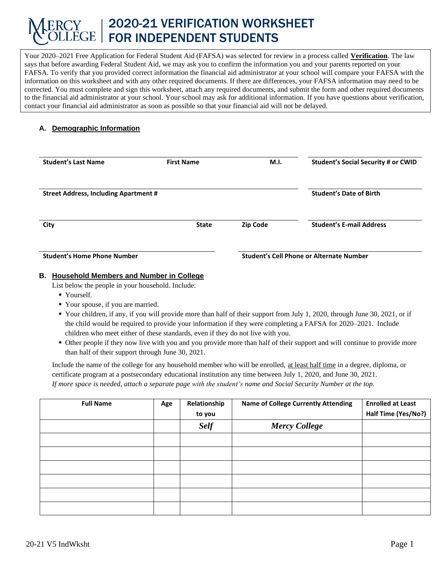# 2020-21 VERIFICATION WORKSHEET FOR INDEPENDENT STUDENTS

Your 2020–2021 Free Application for Federal Student Aid (FAFSA) was selected for review in a process called **Verification**. The law says that before awarding Federal Student Aid, we may ask you to confirm the information you and your parents reported on your FAFSA. To verify that you provided correct information the financial aid administrator at your school will compare your FAFSA with the information on this worksheet and with any other required documents. If there are differences, your FAFSA information may need to be corrected. You must complete and sign this worksheet, attach any required documents, and submit the form and other required documents to the financial aid administrator at your school. Your school may ask for additional information. If you have questions about verification, contact your financial aid administrator as soon as possible so that your financial aid will not be delayed.

## **A. Demographic Information**

| <b>Student's Last Name</b>                   | <b>First Name</b> | M.I.            | <b>Student's Social Security # or CWID</b> |
|----------------------------------------------|-------------------|-----------------|--------------------------------------------|
| <b>Street Address, Including Apartment #</b> |                   |                 | <b>Student's Date of Birth</b>             |
| City                                         | <b>State</b>      | <b>Zip Code</b> | <b>Student's E-mail Address</b>            |
| <b>Student's Home Phone Number</b>           |                   |                 | Student's Cell Phone or Alternate Number   |

#### **B. Household Members and Number in College**

List below the people in your household. Include:

- Yourself.
- Your spouse, if you are married.
- Your children, if any, if you will provide more than half of their support from July 1, 2020, through June 30, 2021, or if the child would be required to provide your information if they were completing a FAFSA for 2020–2021. Include children who meet either of these standards, even if they do not live with you.
- Other people if they now live with you and you provide more than half of their support and will continue to provide more than half of their support through June 30, 2021.

Include the name of the college for any household member who will be enrolled, at least half time in a degree, diploma, or certificate program at a postsecondary educational institution any time between July 1, 2020, and June 30, 2021. *If more space is needed, attach a separate page with the student's name and Social Security Number at the top.*

| <b>Full Name</b> | Age | Relationship<br>to you | <b>Name of College Currently Attending</b> | <b>Enrolled at Least</b><br>Half Time (Yes/No?) |
|------------------|-----|------------------------|--------------------------------------------|-------------------------------------------------|
|                  |     | <b>Self</b>            | <b>Mercy College</b>                       |                                                 |
|                  |     |                        |                                            |                                                 |
|                  |     |                        |                                            |                                                 |
|                  |     |                        |                                            |                                                 |
|                  |     |                        |                                            |                                                 |
|                  |     |                        |                                            |                                                 |
|                  |     |                        |                                            |                                                 |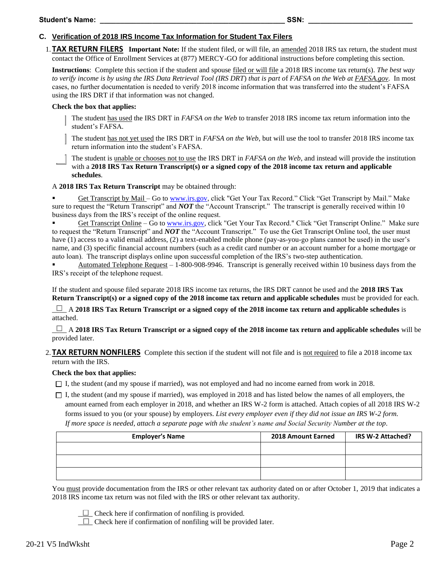#### **C. Verification of 2018 IRS Income Tax Information for Student Tax Filers**

1. **TAX RETURN FILERS Important Note:** If the student filed, or will file, an amended 2018 IRS tax return, the student must contact the Office of Enrollment Services at (877) MERCY-GO for additional instructions before completing this section.

**Instructions**: Complete this section if the student and spouse filed or will file a 2018 IRS income tax return(s). *The best way to verify income is by using the IRS Data Retrieval Tool (IRS DRT*) *that is part o*f *FAFSA on the Web at FAFSA.gov.* In most cases, no further documentation is needed to verify 2018 income information that was transferred into the student's FAFSA using the IRS DRT if that information was not changed.

#### **Check the box that applies:**

The student has used the IRS DRT in *FAFSA on the Web* to transfer 2018 IRS income tax return information into the student's FAFSA*.* 

The student has not yet used the IRS DRT in *FAFSA on the Web*, but will use the tool to transfer 2018 IRS income tax return information into the student's FAFSA.

The student is unable or chooses not to use the IRS DRT in *FAFSA on the Web*, and instead will provide the institution with a **2018 IRS Tax Return Transcript(s)** or a signed copy of the 2018 income tax return and applicable **schedules**.

A **2018 IRS Tax Return Transcript** may be obtained through:

Get Transcript by Mail – Go to [www.irs.gov,](http://www.irs.gov/) click "Get Your Tax Record." Click "Get Transcript by Mail." Make sure to request the "Return Transcript" and *NOT* the "Account Transcript." The transcript is generally received within 10 business days from the IRS's receipt of the online request.

Get Transcript Online – Go t[o www.irs.gov,](http://www.irs.gov/) click "Get Your Tax Record." Click "Get Transcript Online." Make sure to request the "Return Transcript" and *NOT* the "Account Transcript." To use the Get Transcript Online tool, the user must have (1) access to a valid email address, (2) a text-enabled mobile phone (pay-as-you-go plans cannot be used) in the user's name, and (3) specific financial account numbers (such as a credit card number or an account number for a home mortgage or auto loan). The transcript displays online upon successful completion of the IRS's two-step authentication.

Automated Telephone Request  $-1$ -800-908-9946. Transcript is generally received within 10 business days from the IRS's receipt of the telephone request.

If the student and spouse filed separate 2018 IRS income tax returns, the IRS DRT cannot be used and the **2018 IRS Tax Return Transcript(s) or a signed copy of the 2018 income tax return and applicable schedules** must be provided for each.

*\_\_\_\_* A **2018 IRS Tax Return Transcript or a signed copy of the 2018 income tax return and applicable schedules** is attached.

\_\_\_\_ A **2018 IRS Tax Return Transcript or a signed copy of the 2018 income tax return and applicable schedules** will be provided later.

2. **TAX RETURN NONFILERS** Complete this section if the student will not file and is not required to file a 2018 income tax return with the IRS.

#### **Check the box that applies:**

 $\Box$  I, the student (and my spouse if married), was not employed and had no income earned from work in 2018.

 $\Box$  I, the student (and my spouse if married), was employed in 2018 and has listed below the names of all employers, the amount earned from each employer in 2018, and whether an IRS W-2 form is attached. Attach copies of all 2018 IRS W-2 forms issued to you (or your spouse) by employers. *List every employer even if they did not issue an IRS W-2 form. If more space is needed, attach a separate page with the student's name and Social Security Number at the top*.

| <b>Employer's Name</b> | 2018 Amount Earned | IRS W-2 Attached? |
|------------------------|--------------------|-------------------|
|                        |                    |                   |
|                        |                    |                   |
|                        |                    |                   |

You must provide documentation from the IRS or other relevant tax authority dated on or after October 1, 2019 that indicates a 2018 IRS income tax return was not filed with the IRS or other relevant tax authority.

 $\Box$  Check here if confirmation of nonfiling is provided.

 $\Box$  Check here if confirmation of nonfiling will be provided later.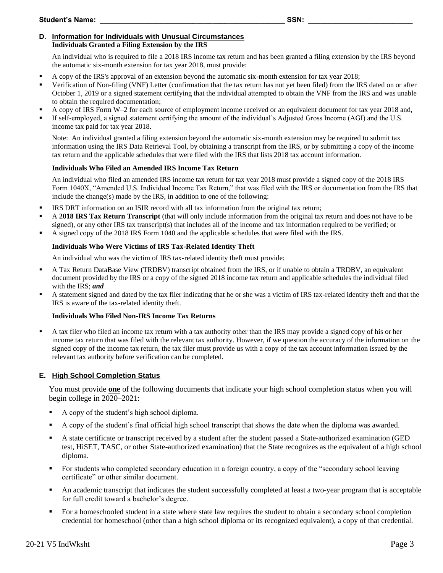#### **D. Information for Individuals with Unusual Circumstances Individuals Granted a Filing Extension by the IRS**

An individual who is required to file a 2018 IRS income tax return and has been granted a filing extension by the IRS beyond the automatic six-month extension for tax year 2018, must provide:

- A copy of the IRS's approval of an extension beyond the automatic six-month extension for tax year 2018;
- Verification of Non-filing (VNF) Letter (confirmation that the tax return has not yet been filed) from the IRS dated on or after October 1, 2019 or a signed statement certifying that the individual attempted to obtain the VNF from the IRS and was unable to obtain the required documentation;
- A copy of IRS Form W-2 for each source of employment income received or an equivalent document for tax year 2018 and,
- If self-employed, a signed statement certifying the amount of the individual's Adjusted Gross Income (AGI) and the U.S. income tax paid for tax year 2018.

Note: An individual granted a filing extension beyond the automatic six-month extension may be required to submit tax information using the IRS Data Retrieval Tool, by obtaining a transcript from the IRS, or by submitting a copy of the income tax return and the applicable schedules that were filed with the IRS that lists 2018 tax account information.

## **Individuals Who Filed an Amended IRS Income Tax Return**

An individual who filed an amended IRS income tax return for tax year 2018 must provide a signed copy of the 2018 IRS Form 1040X, "Amended U.S. Individual Income Tax Return," that was filed with the IRS or documentation from the IRS that include the change(s) made by the IRS, in addition to one of the following:

- IRS DRT information on an ISIR record with all tax information from the original tax return;
- A **2018 IRS Tax Return Transcript** (that will only include information from the original tax return and does not have to be signed), or any other IRS tax transcript(s) that includes all of the income and tax information required to be verified; or
- A signed copy of the 2018 IRS Form 1040 and the applicable schedules that were filed with the IRS.

## **Individuals Who Were Victims of IRS Tax-Related Identity Theft**

An individual who was the victim of IRS tax-related identity theft must provide:

- A Tax Return DataBase View (TRDBV) transcript obtained from the IRS, or if unable to obtain a TRDBV, an equivalent document provided by the IRS or a copy of the signed 2018 income tax return and applicable schedules the individual filed with the IRS; *and*
- A statement signed and dated by the tax filer indicating that he or she was a victim of IRS tax-related identity theft and that the IRS is aware of the tax-related identity theft.

#### **Individuals Who Filed Non-IRS Income Tax Returns**

A tax filer who filed an income tax return with a tax authority other than the IRS may provide a signed copy of his or her income tax return that was filed with the relevant tax authority. However, if we question the accuracy of the information on the signed copy of the income tax return, the tax filer must provide us with a copy of the tax account information issued by the relevant tax authority before verification can be completed.

## **E. High School Completion Status**

You must provide **one** of the following documents that indicate your high school completion status when you will begin college in 2020–2021:

- A copy of the student's high school diploma.
- A copy of the student's final official high school transcript that shows the date when the diploma was awarded.
- A state certificate or transcript received by a student after the student passed a State-authorized examination (GED test, HiSET, TASC, or other State-authorized examination) that the State recognizes as the equivalent of a high school diploma.
- For students who completed secondary education in a foreign country, a copy of the "secondary school leaving certificate" or other similar document.
- An academic transcript that indicates the student successfully completed at least a two-year program that is acceptable for full credit toward a bachelor's degree.
- For a homeschooled student in a state where state law requires the student to obtain a secondary school completion credential for homeschool (other than a high school diploma or its recognized equivalent), a copy of that credential.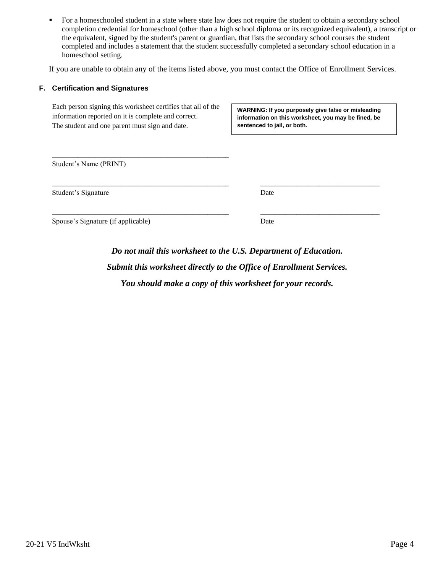• For a homeschooled student in a state where state law does not require the student to obtain a secondary school completion credential for homeschool (other than a high school diploma or its recognized equivalent), a transcript or the equivalent, signed by the student's parent or guardian, that lists the secondary school courses the student completed and includes a statement that the student successfully completed a secondary school education in a homeschool setting.

If you are unable to obtain any of the items listed above, you must contact the Office of Enrollment Services.

#### **F. Certification and Signatures**

Each person signing this worksheet certifies that all of the information reported on it is complete and correct. The student and one parent must sign and date.

\_\_\_\_\_\_\_\_\_\_\_\_\_\_\_\_\_\_\_\_\_\_\_\_\_\_\_\_\_\_\_\_\_\_\_\_\_\_\_\_\_\_\_\_\_\_\_\_\_

**WARNING: If you purposely give false or misleading information on this worksheet, you may be fined, be sentenced to jail, or both.**

Student's Name (PRINT)

Student's Signature Date

Spouse's Signature (if applicable) Date

*Do not mail this worksheet to the U.S. Department of Education. Submit this worksheet directly to the Office of Enrollment Services. You should make a copy of this worksheet for your records.*

\_\_\_\_\_\_\_\_\_\_\_\_\_\_\_\_\_\_\_\_\_\_\_\_\_\_\_\_\_\_\_\_\_\_\_\_\_\_\_\_\_\_\_\_\_\_\_\_\_ \_\_\_\_\_\_\_\_\_\_\_\_\_\_\_\_\_\_\_\_\_\_\_\_\_\_\_\_\_\_\_\_\_

\_\_\_\_\_\_\_\_\_\_\_\_\_\_\_\_\_\_\_\_\_\_\_\_\_\_\_\_\_\_\_\_\_\_\_\_\_\_\_\_\_\_\_\_\_\_\_\_\_ \_\_\_\_\_\_\_\_\_\_\_\_\_\_\_\_\_\_\_\_\_\_\_\_\_\_\_\_\_\_\_\_\_